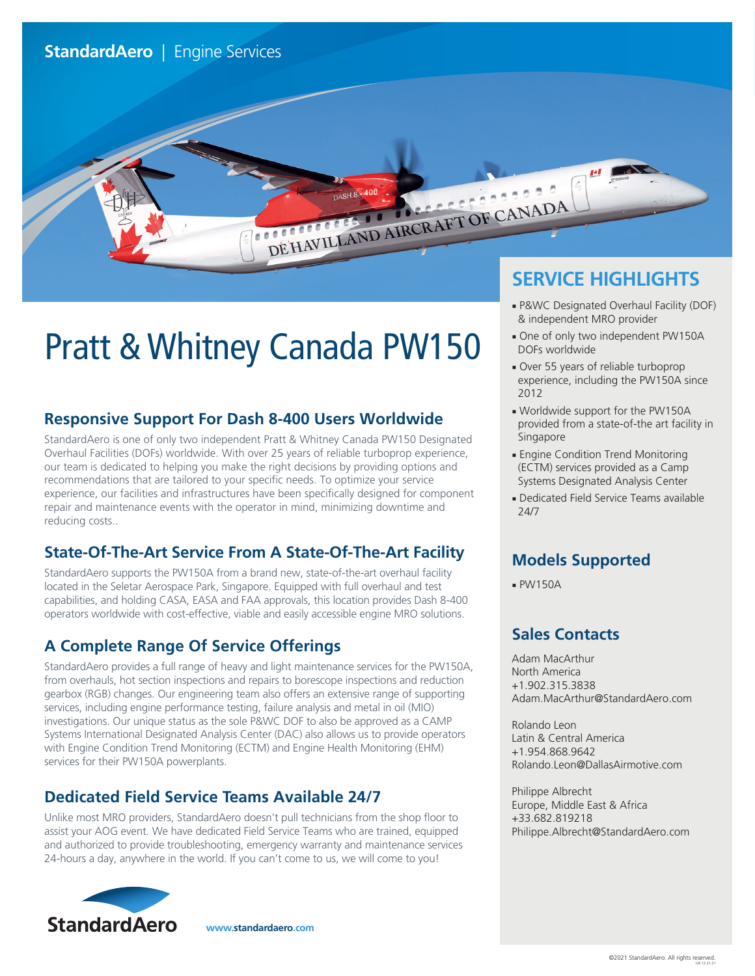# Pratt & Whitney Canada PW150

### **Responsive Support For Dash 8-400 Users Worldwide**

StandardAero is one of only two independent Pratt & Whitney Canada PW150 Designated Overhaul Facilities (DOFs) worldwide. With over 25 years of reliable turboprop experience, our team is dedicated to helping you make the right decisions by providing options and recommendations that are tailored to your specific needs. To optimize your service experience, our facilities and infrastructures have been specifically designed for component repair and maintenance events with the operator in mind, minimizing downtime and reducing costs..

#### **State-Of-The-Art Service From A State-Of-The-Art Facility**

StandardAero supports the PW150A from a brand new, state-of-the-art overhaul facility located in the Seletar Aerospace Park, Singapore. Equipped with full overhaul and test capabilities, and holding CASA, EASA and FAA approvals, this location provides Dash 8-400 operators worldwide with cost-effective, viable and easily accessible engine MRO solutions.

#### **A Complete Range Of Service Offerings**

StandardAero provides a full range of heavy and light maintenance services for the PW150A, from overhauls, hot section inspections and repairs to borescope inspections and reduction gearbox (RGB) changes. Our engineering team also offers an extensive range of supporting services, including engine performance testing, failure analysis and metal in oil (MIO) investigations. Our unique status as the sole P&WC DOF to also be approved as a CAMP Systems International Designated Analysis Center (DAC) also allows us to provide operators with Engine Condition Trend Monitoring (ECTM) and Engine Health Monitoring (EHM) services for their PW150A powerplants.

#### **Dedicated Field Service Teams Available 24/7**

Unlike most MRO providers, StandardAero doesn't pull technicians from the shop floor to assist your AOG event. We have dedicated Field Service Teams who are trained, equipped and authorized to provide troubleshooting, emergency warranty and maintenance services 24-hours a day, anywhere in the world. If you can't come to us, we will come to you!



**www.standardaero.com**

## **SERVICE HIGHLIGHTS**

- P&WC Designated Overhaul Facility (DOF) & independent MRO provider
- One of only two independent PW150A DOFs worldwide
- Over 55 years of reliable turboprop experience, including the PW150A since 2012
- Worldwide support for the PW150A provided from a state-of-the art facility in Singapore
- Engine Condition Trend Monitoring (ECTM) services provided as a Camp Systems Designated Analysis Center
- Dedicated Field Service Teams available 24/7

#### **Models Supported**

■ PW150A

encerce of

DE HAVILLAND AIRCRAFT OF CANADA

DASH 8 - 400

#### **Sales Contacts**

Adam MacArthur North America +1.902.315.3838 Adam.MacArthur@StandardAero.com

Rolando Leon Latin & Central America +1.954.868.9642 Rolando.Leon@DallasAirmotive.com

Philippe Albrecht Europe, Middle East & Africa +33.682.819218 Philippe.Albrecht@StandardAero.com